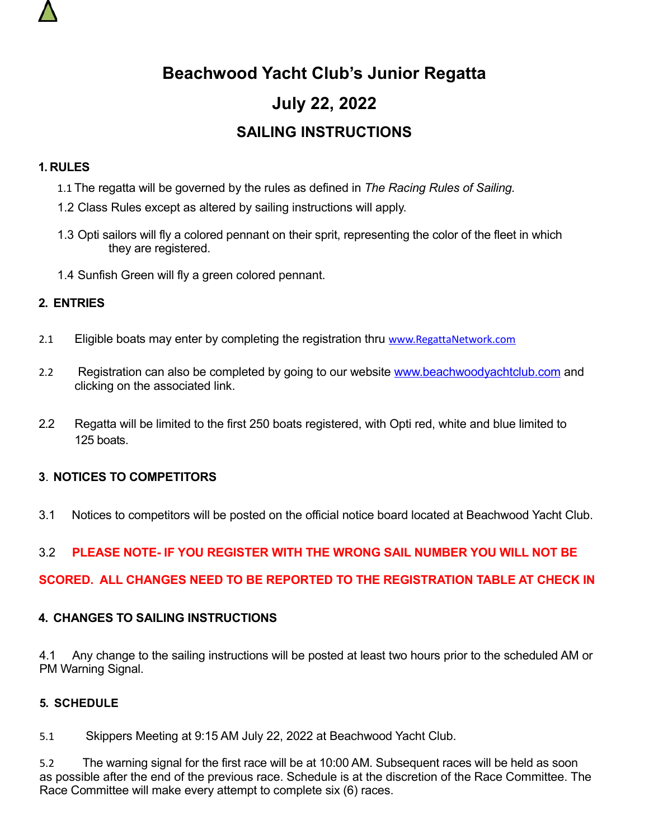

# **Beachwood Yacht Club's Junior Regatta July 22, 2022 SAILING INSTRUCTIONS**

#### **1. RULES**

- 1.1 The regatta will be governed by the rules as defined in *The Racing Rules of Sailing.*
- 1.2 Class Rules except as altered by sailing instructions will apply.
- 1.3 Opti sailors will fly a colored pennant on their sprit, representing the color of the fleet in which they are registered.
- 1.4 Sunfish Green will fly a green colored pennant.

## **2. ENTRIES**

- 2.1 Eligible boats may enter by completing the registration thru [www.RegattaNetwork.com](http://www.RegattaNetwork.com/)
- 2.2 Registration can also be completed by going to our website [www.beachwoodyachtclub.com](http://www.beachwoodyachtclub.com/) and clicking on the associated link.
- 2.2 Regatta will be limited to the first 250 boats registered, with Opti red, white and blue limited to 125 boats.

## **3**. **NOTICES TO COMPETITORS**

3.1 Notices to competitors will be posted on the official notice board located at Beachwood Yacht Club.

## 3.2 **PLEASE NOTE- IF YOU REGISTER WITH THE WRONG SAIL NUMBER YOU WILL NOT BE**

#### **SCORED. ALL CHANGES NEED TO BE REPORTED TO THE REGISTRATION TABLE AT CHECK IN**

#### **4. CHANGES TO SAILING INSTRUCTIONS**

4.1 Any change to the sailing instructions will be posted at least two hours prior to the scheduled AM or PM Warning Signal.

#### **5. SCHEDULE**

5.1 Skippers Meeting at 9:15 AM July 22, 2022 at Beachwood Yacht Club.

5.2 The warning signal for the first race will be at 10:00 AM. Subsequent races will be held as soon as possible after the end of the previous race. Schedule is at the discretion of the Race Committee. The Race Committee will make every attempt to complete six (6) races.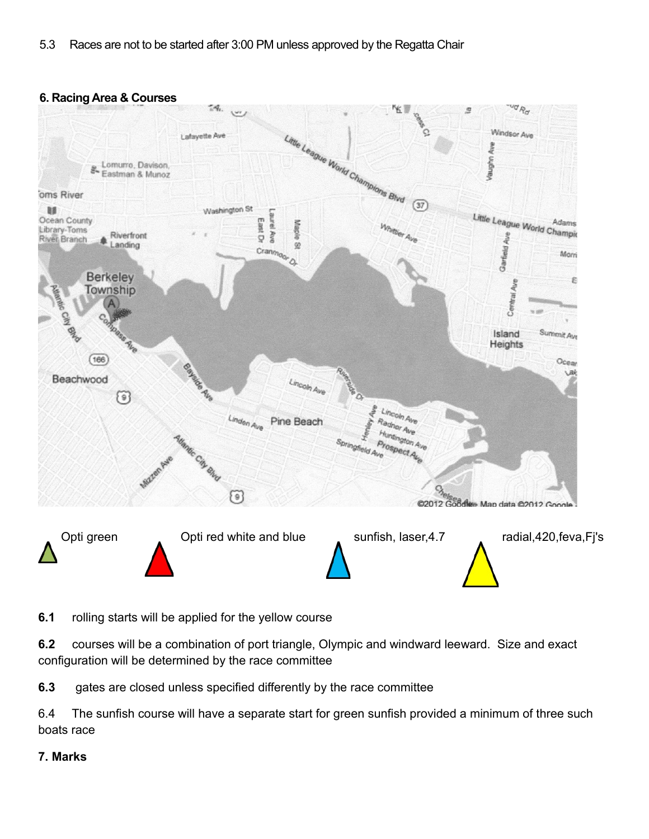#### **6. Racing Area & Courses**



**6.1** rolling starts will be applied for the yellow course

**6.2** courses will be a combination of port triangle, Olympic and windward leeward. Size and exact configuration will be determined by the race committee

**6.3** gates are closed unless specified differently by the race committee

6.4 The sunfish course will have a separate start for green sunfish provided a minimum of three such boats race

#### **7. Marks**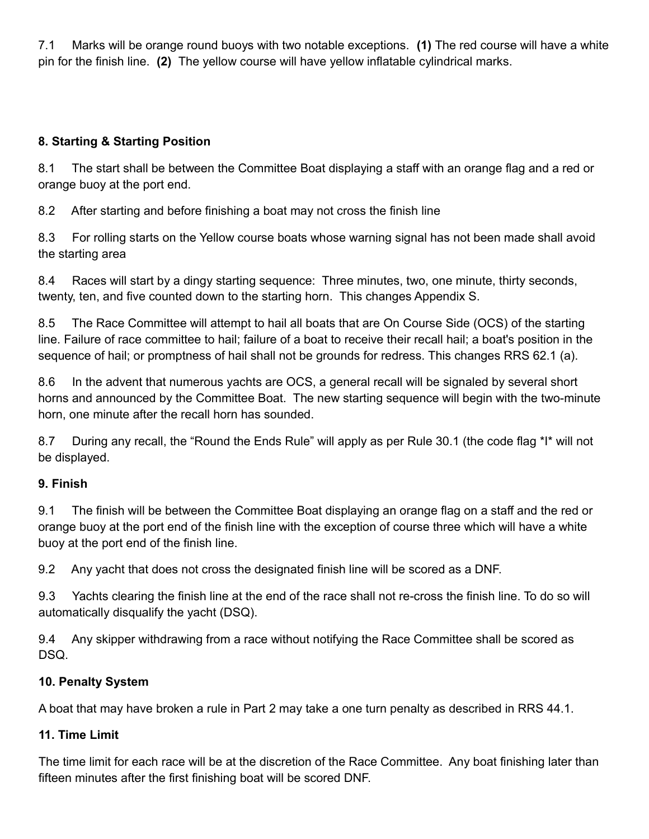7.1 Marks will be orange round buoys with two notable exceptions. **(1)** The red course will have a white pin for the finish line. **(2)** The yellow course will have yellow inflatable cylindrical marks.

## **8. Starting & Starting Position**

8.1 The start shall be between the Committee Boat displaying a staff with an orange flag and a red or orange buoy at the port end.

8.2 After starting and before finishing a boat may not cross the finish line

8.3 For rolling starts on the Yellow course boats whose warning signal has not been made shall avoid the starting area

8.4 Races will start by a dingy starting sequence: Three minutes, two, one minute, thirty seconds, twenty, ten, and five counted down to the starting horn. This changes Appendix S.

8.5 The Race Committee will attempt to hail all boats that are On Course Side (OCS) of the starting line. Failure of race committee to hail; failure of a boat to receive their recall hail; a boat's position in the sequence of hail; or promptness of hail shall not be grounds for redress. This changes RRS 62.1 (a).

8.6 In the advent that numerous yachts are OCS, a general recall will be signaled by several short horns and announced by the Committee Boat. The new starting sequence will begin with the two-minute horn, one minute after the recall horn has sounded.

8.7 During any recall, the "Round the Ends Rule" will apply as per Rule 30.1 (the code flag \*I\* will not be displayed.

# **9. Finish**

9.1 The finish will be between the Committee Boat displaying an orange flag on a staff and the red or orange buoy at the port end of the finish line with the exception of course three which will have a white buoy at the port end of the finish line.

9.2 Any yacht that does not cross the designated finish line will be scored as a DNF.

9.3 Yachts clearing the finish line at the end of the race shall not re-cross the finish line. To do so will automatically disqualify the yacht (DSQ).

9.4 Any skipper withdrawing from a race without notifying the Race Committee shall be scored as DSQ.

# **10. Penalty System**

A boat that may have broken a rule in Part 2 may take a one turn penalty as described in RRS 44.1.

# **11. Time Limit**

The time limit for each race will be at the discretion of the Race Committee. Any boat finishing later than fifteen minutes after the first finishing boat will be scored DNF.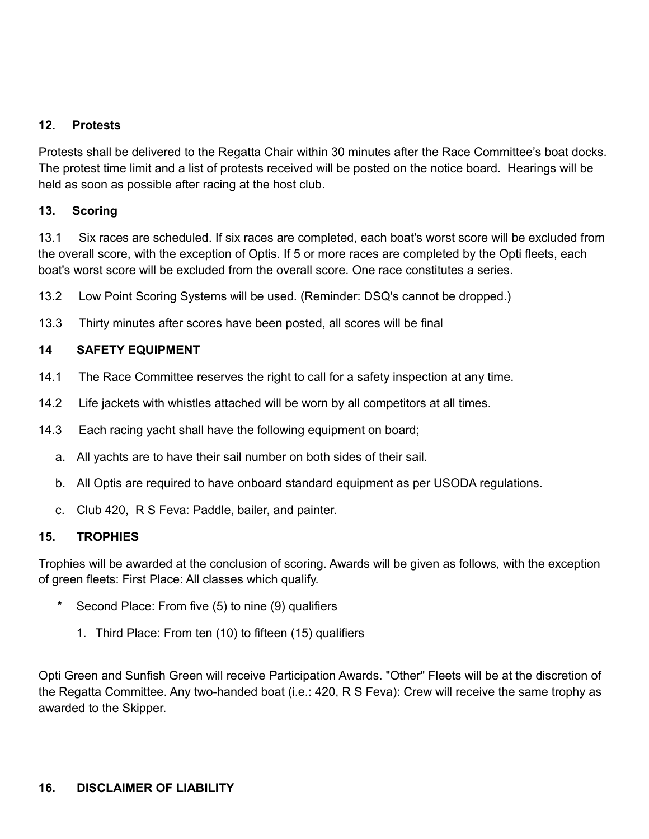### **12. Protests**

Protests shall be delivered to the Regatta Chair within 30 minutes after the Race Committee's boat docks. The protest time limit and a list of protests received will be posted on the notice board. Hearings will be held as soon as possible after racing at the host club.

#### **13. Scoring**

13.1 Six races are scheduled. If six races are completed, each boat's worst score will be excluded from the overall score, with the exception of Optis. If 5 or more races are completed by the Opti fleets, each boat's worst score will be excluded from the overall score. One race constitutes a series.

- 13.2 Low Point Scoring Systems will be used. (Reminder: DSQ's cannot be dropped.)
- 13.3 Thirty minutes after scores have been posted, all scores will be final

#### **14 SAFETY EQUIPMENT**

- 14.1 The Race Committee reserves the right to call for a safety inspection at any time.
- 14.2 Life jackets with whistles attached will be worn by all competitors at all times.
- 14.3 Each racing yacht shall have the following equipment on board;
	- a. All yachts are to have their sail number on both sides of their sail.
	- b. All Optis are required to have onboard standard equipment as per USODA regulations.
	- c. Club 420, R S Feva: Paddle, bailer, and painter.

#### **15. TROPHIES**

Trophies will be awarded at the conclusion of scoring. Awards will be given as follows, with the exception of green fleets: First Place: All classes which qualify.

- Second Place: From five (5) to nine (9) qualifiers
	- 1. Third Place: From ten (10) to fifteen (15) qualifiers

Opti Green and Sunfish Green will receive Participation Awards. "Other" Fleets will be at the discretion of the Regatta Committee. Any two-handed boat (i.e.: 420, R S Feva): Crew will receive the same trophy as awarded to the Skipper.